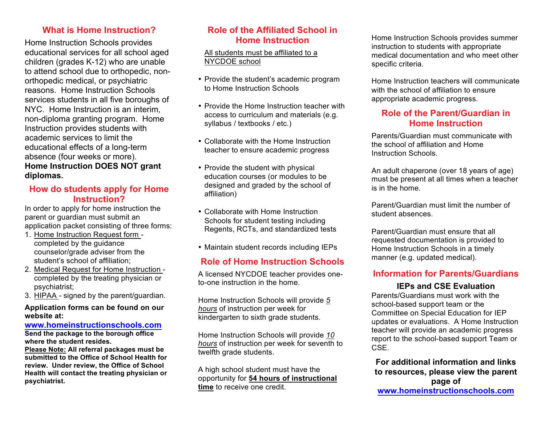#### **What is Home Instruction?**

Home Instruction Schools provides educational services for all school aged children (grades K-12) who are unable to attend school due to orthopedic, nonorthopedic medical, or psychiatric reasons. Home Instruction Schools services students in all five boroughs of NYC. Home Instruction is an interim, non-diploma granting program. Home Instruction provides students with academic services to limit the educational effects of a long-term absence (four weeks or more). **Home Instruction DOES NOT grant diplomas.**

## **How do students apply for Home Instruction?**

In order to apply for home instruction the parent or guardian must submit an application packet consisting of three forms:

- 1. Home Instruction Request form completed by the guidance counselor/grade adviser from the student's school of affiliation;
- 2. Medical Request for Home Instruction completed by the treating physician or psychiatrist;
- 3. HIPAA signed by the parent/guardian.

#### **Application forms can be found on our website at:**

#### **www.homeinstructionschools.com Send the package to the borough office**

**where the student resides.**

**Please Note: All referral packages must be submitted to the Office of School Health for review. Under review, the Office of School Health will contact the treating physician or psychiatrist.**

## **Role of the Affiliated School in Home Instruction**

All students must be affiliated to a NYCDOE school

- Provide the student's academic program to Home Instruction Schools
- Provide the Home Instruction teacher with access to curriculum and materials (e.g. syllabus / textbooks / etc.)
- Collaborate with the Home Instruction teacher to ensure academic progress
- Provide the student with physical education courses (or modules to be designed and graded by the school of affiliation)
- Collaborate with Home Instruction Schools for student testing including Regents, RCTs, and standardized tests
- Maintain student records including IEPs

# **Role of Home Instruction Schools**

A licensed NYCDOE teacher provides oneto-one instruction in the home.

Home Instruction Schools will provide *5 hours* of instruction per week for kindergarten to sixth grade students.

Home Instruction Schools will provide *10 hours* of instruction per week for seventh to twelfth grade students.

A high school student must have the opportunity for **54 hours of instructional time** to receive one credit.

Home Instruction Schools provides summer instruction to students with appropriate medical documentation and who meet other specific criteria.

Home Instruction teachers will communicate with the school of affiliation to ensure appropriate academic progress.

## **Role of the Parent/Guardian in Home Instruction**

Parents/Guardian must communicate with the school of affiliation and Home Instruction Schools.

An adult chaperone (over 18 years of age) must be present at all times when a teacher is in the home.

Parent/Guardian must limit the number of student absences.

Parent/Guardian must ensure that all requested documentation is provided to Home Instruction Schools in a timely manner (e.g. updated medical).

### **Information for Parents/Guardians**

### **IEPs and CSE Evaluation**

Parents/Guardians must work with the school-based support team or the Committee on Special Education for IEP updates or evaluations. A Home Instruction teacher will provide an academic progress report to the school-based support Team or CSE.

#### **For additional information and links to resources, please view the parent page of www.homeinstructionschools.com**